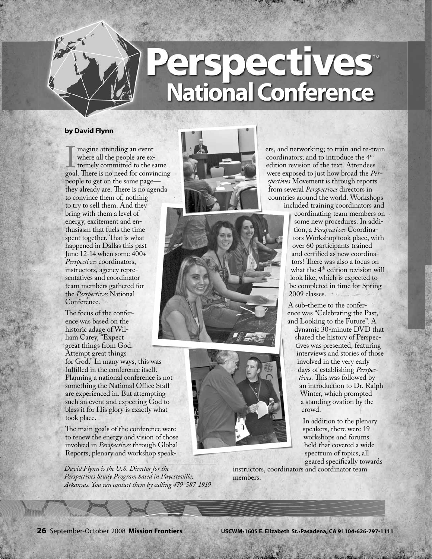## **National Conference**

## **by David Flynn**

Imagine attending an event<br>where all the people are ex-<br>tremely committed to the same<br>goal. There is no need for convincing magine attending an event where all the people are extremely committed to the same people to get on the same page they already are. There is no agenda to convince them of, nothing to try to sell them. And they bring with them a level of energy, excitement and enthusiasm that fuels the time spent together. That is what happened in Dallas this past June 12-14 when some 400+ *Perspectives* coordinators, instructors, agency representatives and coordinator team members gathered for the *Perspectives* National Conference.

The focus of the conference was based on the historic adage of William Carey, "Expect great things from God. Attempt great things

for God." In many ways, this was fulfilled in the conference itself. Planning a national conference is not something the National Office Staff are experienced in. But attempting such an event and expecting God to bless it for His glory is exactly what took place.

The main goals of the conference were to renew the energy and vision of those involved in *Perspectives* through Global Reports, plenary and workshop speak-

*David Flynn is the U.S. Director for the Perspectives Study Program based in Fayetteville, Arkansas. You can contact them by calling 479-587-1919*







ers, and networking; to train and re-train coordinators; and to introduce the 4<sup>th</sup> edition revision of the text. Attendees were exposed to just how broad the *Perspectives* Movement is through reports from several *Perspectives* directors in countries around the world. Workshops included training coordinators and

coordinating team members on some new procedures. In addition, a *Perspectives* Coordinators Workshop took place, with over 60 participants trained and certified as new coordinators! There was also a focus on what the 4<sup>th</sup> edition revision will look like, which is expected to be completed in time for Spring 2009 classes.

A sub-theme to the conference was "Celebrating the Past, and Looking to the Future". A

dynamic 30-minute DVD that shared the history of Perspectives was presented, featuring interviews and stories of those involved in the very early days of establishing *Perspectives*. This was followed by an introduction to Dr. Ralph Winter, which prompted a standing ovation by the crowd.

In addition to the plenary speakers, there were 19 workshops and forums held that covered a wide spectrum of topics, all geared specifically towards

instructors, coordinators and coordinator team members.

**26** September-October 2008 **Mission Frontiers USCWM•1605 E. Elizabeth St.•Pasadena, CA 91104•626-797-1111**